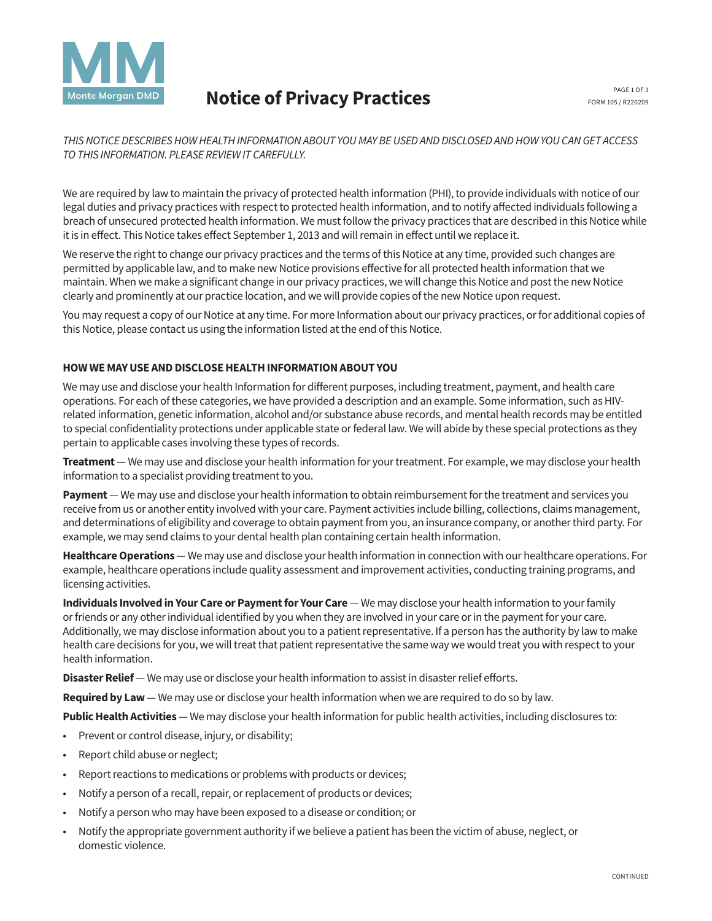

# Notice of Privacy Practices

*THIS NOTICE DESCRIBES HOW HEALTH INFORMATION ABOUT YOU MAY BE USED AND DISCLOSED AND HOW YOU CAN GET ACCESS TO THIS INFORMATION. PLEASE REVIEW IT CAREFULLY.*

We are required by law to maintain the privacy of protected health information (PHI), to provide individuals with notice of our legal duties and privacy practices with respect to protected health information, and to notify affected individuals following a breach of unsecured protected health information. We must follow the privacy practices that are described in this Notice while it is in effect. This Notice takes effect September 1, 2013 and will remain in effect until we replace it.

We reserve the right to change our privacy practices and the terms of this Notice at any time, provided such changes are permitted by applicable law, and to make new Notice provisions effective for all protected health information that we maintain. When we make a significant change in our privacy practices, we will change this Notice and post the new Notice clearly and prominently at our practice location, and we will provide copies of the new Notice upon request.

You may request a copy of our Notice at any time. For more Information about our privacy practices, or for additional copies of this Notice, please contact us using the information listed at the end of this Notice.

#### HOW WE MAY USE AND DISCLOSE HEALTH INFORMATION ABOUT YOU

We may use and disclose your health Information for different purposes, including treatment, payment, and health care operations. For each of these categories, we have provided a description and an example. Some information, such as HIVrelated information, genetic information, alcohol and/or substance abuse records, and mental health records may be entitled to special confidentiality protections under applicable state or federal law. We will abide by these special protections as they pertain to applicable cases involving these types of records.

Treatment — We may use and disclose your health information for your treatment. For example, we may disclose your health information to a specialist providing treatment to you.

Payment — We may use and disclose your health information to obtain reimbursement for the treatment and services you receive from us or another entity involved with your care. Payment activities include billing, collections, claims management, and determinations of eligibility and coverage to obtain payment from you, an insurance company, or another third party. For example, we may send claims to your dental health plan containing certain health information.

Healthcare Operations — We may use and disclose your health information in connection with our healthcare operations. For example, healthcare operations include quality assessment and improvement activities, conducting training programs, and licensing activities.

Individuals Involved in Your Care or Payment for Your Care — We may disclose your health information to your family or friends or any other individual identified by you when they are involved in your care or in the payment for your care. Additionally, we may disclose information about you to a patient representative. If a person has the authority by law to make health care decisions for you, we will treat that patient representative the same way we would treat you with respect to your health information.

Disaster Relief — We may use or disclose your health information to assist in disaster relief efforts.

Required by Law - We may use or disclose your health information when we are required to do so by law.

Public Health Activities — We may disclose your health information for public health activities, including disclosures to:

- Prevent or control disease, injury, or disability;
- Report child abuse or neglect;
- Report reactions to medications or problems with products or devices;
- Notify a person of a recall, repair, or replacement of products or devices;
- Notify a person who may have been exposed to a disease or condition; or
- Notify the appropriate government authority if we believe a patient has been the victim of abuse, neglect, or domestic violence.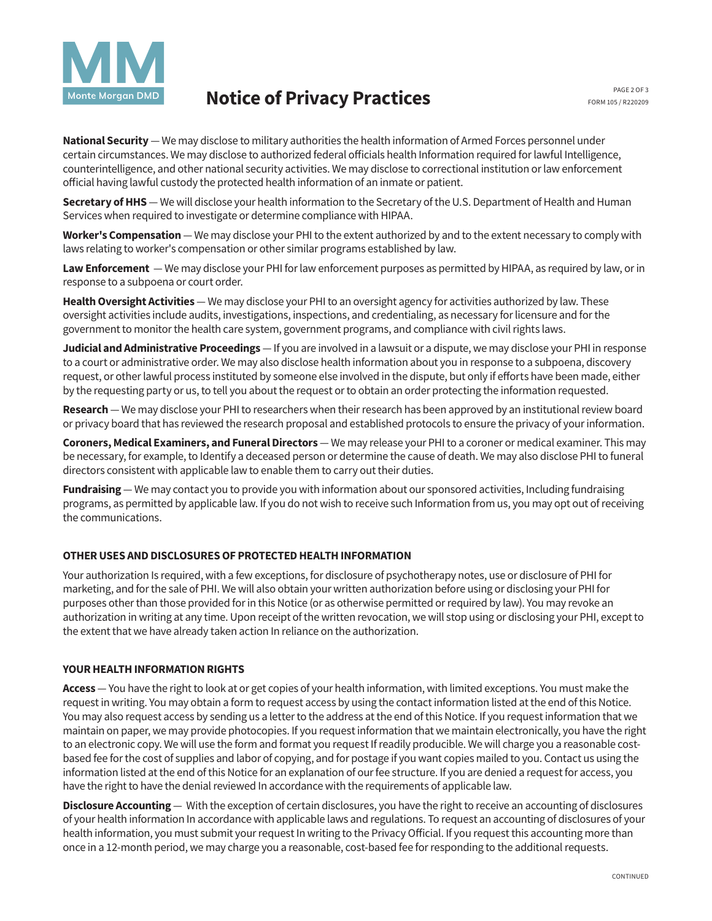

## Notice of Privacy Practices

National Security — We may disclose to military authorities the health information of Armed Forces personnel under certain circumstances. We may disclose to authorized federal officials health Information required for lawful Intelligence, counterintelligence, and other national security activities. We may disclose to correctional institution or law enforcement official having lawful custody the protected health information of an inmate or patient.

Secretary of HHS — We will disclose your health information to the Secretary of the U.S. Department of Health and Human Services when required to investigate or determine compliance with HIPAA.

Worker's Compensation — We may disclose your PHI to the extent authorized by and to the extent necessary to comply with laws relating to worker's compensation or other similar programs established by law.

Law Enforcement - We may disclose your PHI for law enforcement purposes as permitted by HIPAA, as required by law, or in response to a subpoena or court order.

Health Oversight Activities — We may disclose your PHI to an oversight agency for activities authorized by law. These oversight activities include audits, investigations, inspections, and credentialing, as necessary for licensure and for the government to monitor the health care system, government programs, and compliance with civil rights laws.

Judicial and Administrative Proceedings — If you are involved in a lawsuit or a dispute, we may disclose your PHI in response to a court or administrative order. We may also disclose health information about you in response to a subpoena, discovery request, or other lawful process instituted by someone else involved in the dispute, but only if efforts have been made, either by the requesting party or us, to tell you about the request or to obtain an order protecting the information requested.

Research — We may disclose your PHI to researchers when their research has been approved by an institutional review board or privacy board that has reviewed the research proposal and established protocols to ensure the privacy of your information.

Coroners, Medical Examiners, and Funeral Directors - We may release your PHI to a coroner or medical examiner. This may be necessary, for example, to Identify a deceased person or determine the cause of death. We may also disclose PHI to funeral directors consistent with applicable law to enable them to carry out their duties.

**Fundraising** — We may contact you to provide you with information about our sponsored activities, Including fundraising programs, as permitted by applicable law. If you do not wish to receive such Information from us, you may opt out of receiving the communications.

### OTHER USES AND DISCLOSURES OF PROTECTED HEALTH INFORMATION

Your authorization Is required, with a few exceptions, for disclosure of psychotherapy notes, use or disclosure of PHI for marketing, and for the sale of PHI. We will also obtain your written authorization before using or disclosing your PHI for purposes other than those provided for in this Notice (or as otherwise permitted or required by law). You may revoke an authorization in writing at any time. Upon receipt of the written revocation, we will stop using or disclosing your PHI, except to the extent that we have already taken action In reliance on the authorization.

#### YOUR HEALTH INFORMATION RIGHTS

Access — You have the right to look at or get copies of your health information, with limited exceptions. You must make the request in writing. You may obtain a form to request access by using the contact information listed at the end of this Notice. You may also request access by sending us a letter to the address at the end of this Notice. If you request information that we maintain on paper, we may provide photocopies. If you request information that we maintain electronically, you have the right to an electronic copy. We will use the form and format you request If readily producible. We will charge you a reasonable costbased fee for the cost of supplies and labor of copying, and for postage if you want copies mailed to you. Contact us using the information listed at the end of this Notice for an explanation of our fee structure. If you are denied a request for access, you have the right to have the denial reviewed In accordance with the requirements of applicable law.

Disclosure Accounting — With the exception of certain disclosures, you have the right to receive an accounting of disclosures of your health information In accordance with applicable laws and regulations. To request an accounting of disclosures of your health information, you must submit your request In writing to the Privacy Official. If you request this accounting more than once in a 12-month period, we may charge you a reasonable, cost-based fee for responding to the additional requests.